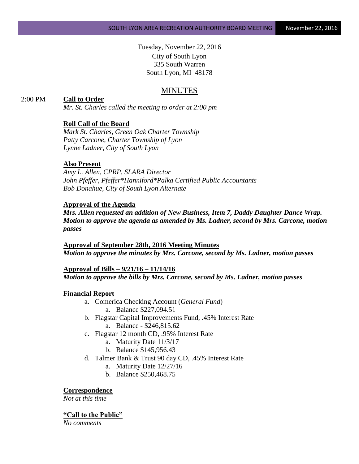Tuesday, November 22, 2016 City of South Lyon 335 South Warren South Lyon, MI 48178

## MINUTES

### 2:00 PM **Call to Order**

*Mr. St. Charles called the meeting to order at 2:00 pm*

### **Roll Call of the Board**

*Mark St. Charles, Green Oak Charter Township Patty Carcone, Charter Township of Lyon Lynne Ladner, City of South Lyon*

### **Also Present**

*Amy L. Allen, CPRP, SLARA Director John Pfeffer, Pfeffer\*Hanniford\*Palka Certified Public Accountants Bob Donahue, City of South Lyon Alternate*

#### **Approval of the Agenda**

*Mrs. Allen requested an addition of New Business, Item 7, Daddy Daughter Dance Wrap. Motion to approve the agenda as amended by Ms. Ladner, second by Mrs. Carcone, motion passes*

**Approval of September 28th, 2016 Meeting Minutes** *Motion to approve the minutes by Mrs. Carcone, second by Ms. Ladner, motion passes*

#### **Approval of Bills – 9/21/16 – 11/14/16**

*Motion to approve the bills by Mrs. Carcone, second by Ms. Ladner, motion passes*

#### **Financial Report**

- a. Comerica Checking Account (*General Fund*) a. Balance \$227,094.51
- b. Flagstar Capital Improvements Fund, .45% Interest Rate a. Balance - \$246,815.62
- c. Flagstar 12 month CD, .95% Interest Rate
	- a. Maturity Date 11/3/17
	- b. Balance \$145,956.43
- d. Talmer Bank & Trust 90 day CD, .45% Interest Rate
	- a. Maturity Date 12/27/16
	- b. Balance \$250,468.75

**Correspondence**

*Not at this time*

#### **"Call to the Public"**

*No comments*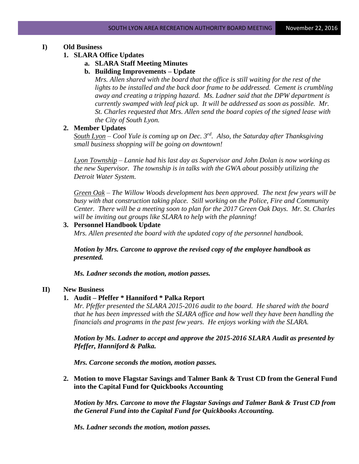# **I) Old Business**

## **1. SLARA Office Updates**

# **a. SLARA Staff Meeting Minutes**

## **b. Building Improvements – Update**

*Mrs. Allen shared with the board that the office is still waiting for the rest of the lights to be installed and the back door frame to be addressed. Cement is crumbling away and creating a tripping hazard. Ms. Ladner said that the DPW department is currently swamped with leaf pick up. It will be addressed as soon as possible. Mr. St. Charles requested that Mrs. Allen send the board copies of the signed lease with the City of South Lyon.*

## **2. Member Updates**

*South Lyon – Cool Yule is coming up on Dec. 3rd. Also, the Saturday after Thanksgiving small business shopping will be going on downtown!*

*Lyon Township – Lannie had his last day as Supervisor and John Dolan is now working as the new Supervisor. The township is in talks with the GWA about possibly utilizing the Detroit Water System.*

*Green Oak – The Willow Woods development has been approved. The next few years will be busy with that construction taking place. Still working on the Police, Fire and Community Center. There will be a meeting soon to plan for the 2017 Green Oak Days. Mr. St. Charles will be inviting out groups like SLARA to help with the planning!*

## **3. Personnel Handbook Update**

*Mrs. Allen presented the board with the updated copy of the personnel handbook.* 

*Motion by Mrs. Carcone to approve the revised copy of the employee handbook as presented.*

*Ms. Ladner seconds the motion, motion passes.*

# **II) New Business**

## **1. Audit – Pfeffer \* Hanniford \* Palka Report**

*Mr. Pfeffer presented the SLARA 2015-2016 audit to the board. He shared with the board that he has been impressed with the SLARA office and how well they have been handling the financials and programs in the past few years. He enjoys working with the SLARA.*

*Motion by Ms. Ladner to accept and approve the 2015-2016 SLARA Audit as presented by Pfeffer, Hanniford & Palka.* 

*Mrs. Carcone seconds the motion, motion passes.*

**2. Motion to move Flagstar Savings and Talmer Bank & Trust CD from the General Fund into the Capital Fund for Quickbooks Accounting**

*Motion by Mrs. Carcone to move the Flagstar Savings and Talmer Bank & Trust CD from the General Fund into the Capital Fund for Quickbooks Accounting.*

*Ms. Ladner seconds the motion, motion passes.*